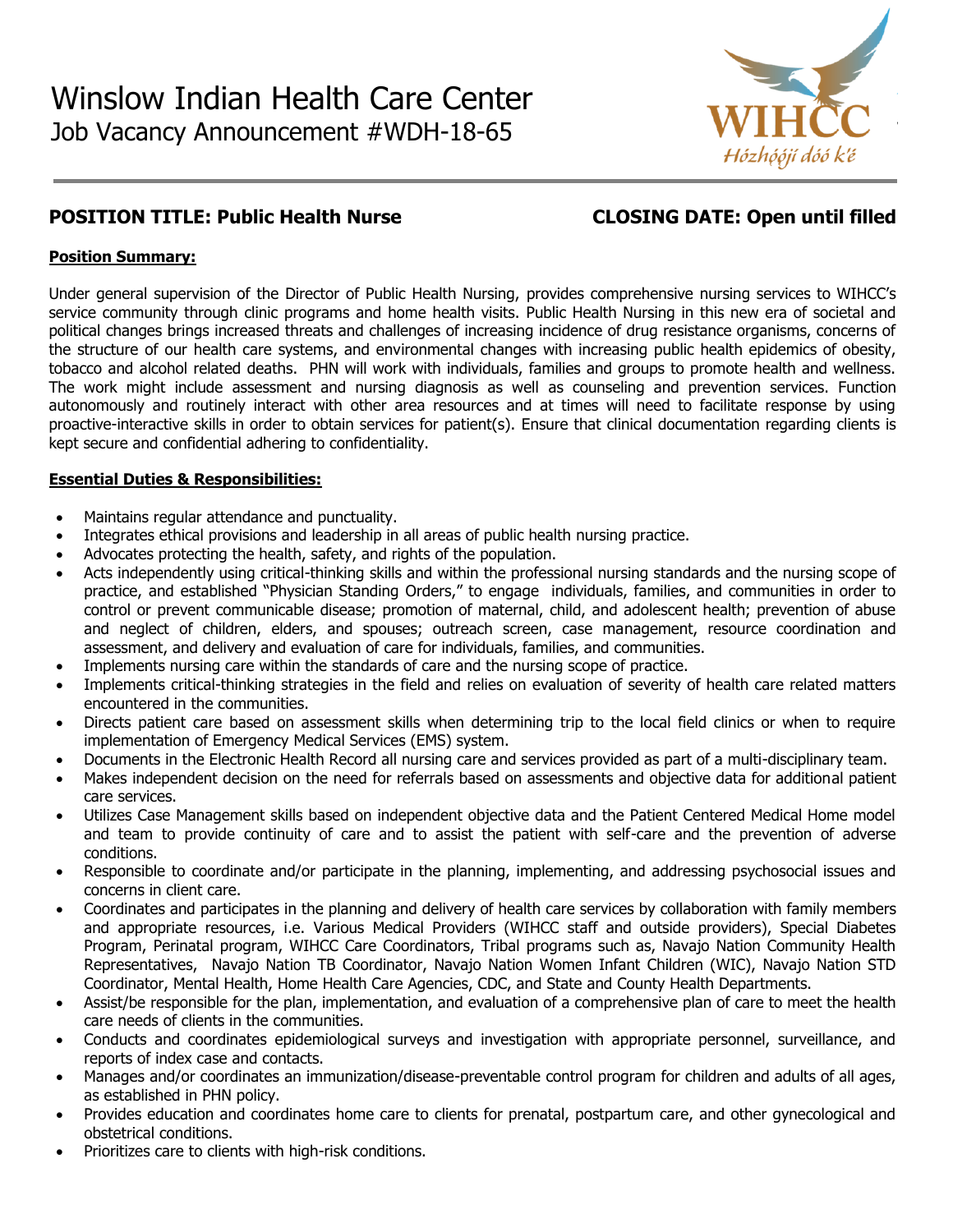

# **POSITION TITLE: Public Health Nurse CLOSING DATE: Open until filled**

## **Position Summary:**

Under general supervision of the Director of Public Health Nursing, provides comprehensive nursing services to WIHCC's service community through clinic programs and home health visits. Public Health Nursing in this new era of societal and political changes brings increased threats and challenges of increasing incidence of drug resistance organisms, concerns of the structure of our health care systems, and environmental changes with increasing public health epidemics of obesity, tobacco and alcohol related deaths. PHN will work with individuals, families and groups to promote health and wellness. The work might include assessment and nursing diagnosis as well as counseling and prevention services. Function autonomously and routinely interact with other area resources and at times will need to facilitate response by using proactive-interactive skills in order to obtain services for patient(s). Ensure that clinical documentation regarding clients is kept secure and confidential adhering to confidentiality.

#### **Essential Duties & Responsibilities:**

- Maintains regular attendance and punctuality.
- Integrates ethical provisions and leadership in all areas of public health nursing practice.
- Advocates protecting the health, safety, and rights of the population.
- Acts independently using critical-thinking skills and within the professional nursing standards and the nursing scope of practice, and established "Physician Standing Orders," to engage individuals, families, and communities in order to control or prevent communicable disease; promotion of maternal, child, and adolescent health; prevention of abuse and neglect of children, elders, and spouses; outreach screen, case management, resource coordination and assessment, and delivery and evaluation of care for individuals, families, and communities.
- Implements nursing care within the standards of care and the nursing scope of practice.
- Implements critical-thinking strategies in the field and relies on evaluation of severity of health care related matters encountered in the communities.
- Directs patient care based on assessment skills when determining trip to the local field clinics or when to require implementation of Emergency Medical Services (EMS) system.
- Documents in the Electronic Health Record all nursing care and services provided as part of a multi-disciplinary team.
- Makes independent decision on the need for referrals based on assessments and objective data for additional patient care services.
- Utilizes Case Management skills based on independent objective data and the Patient Centered Medical Home model and team to provide continuity of care and to assist the patient with self-care and the prevention of adverse conditions.
- Responsible to coordinate and/or participate in the planning, implementing, and addressing psychosocial issues and concerns in client care.
- Coordinates and participates in the planning and delivery of health care services by collaboration with family members and appropriate resources, i.e. Various Medical Providers (WIHCC staff and outside providers), Special Diabetes Program, Perinatal program, WIHCC Care Coordinators, Tribal programs such as, Navajo Nation Community Health Representatives, Navajo Nation TB Coordinator, Navajo Nation Women Infant Children (WIC), Navajo Nation STD Coordinator, Mental Health, Home Health Care Agencies, CDC, and State and County Health Departments.
- Assist/be responsible for the plan, implementation, and evaluation of a comprehensive plan of care to meet the health care needs of clients in the communities.
- Conducts and coordinates epidemiological surveys and investigation with appropriate personnel, surveillance, and reports of index case and contacts.
- Manages and/or coordinates an immunization/disease-preventable control program for children and adults of all ages, as established in PHN policy.
- Provides education and coordinates home care to clients for prenatal, postpartum care, and other gynecological and obstetrical conditions.
- Prioritizes care to clients with high-risk conditions.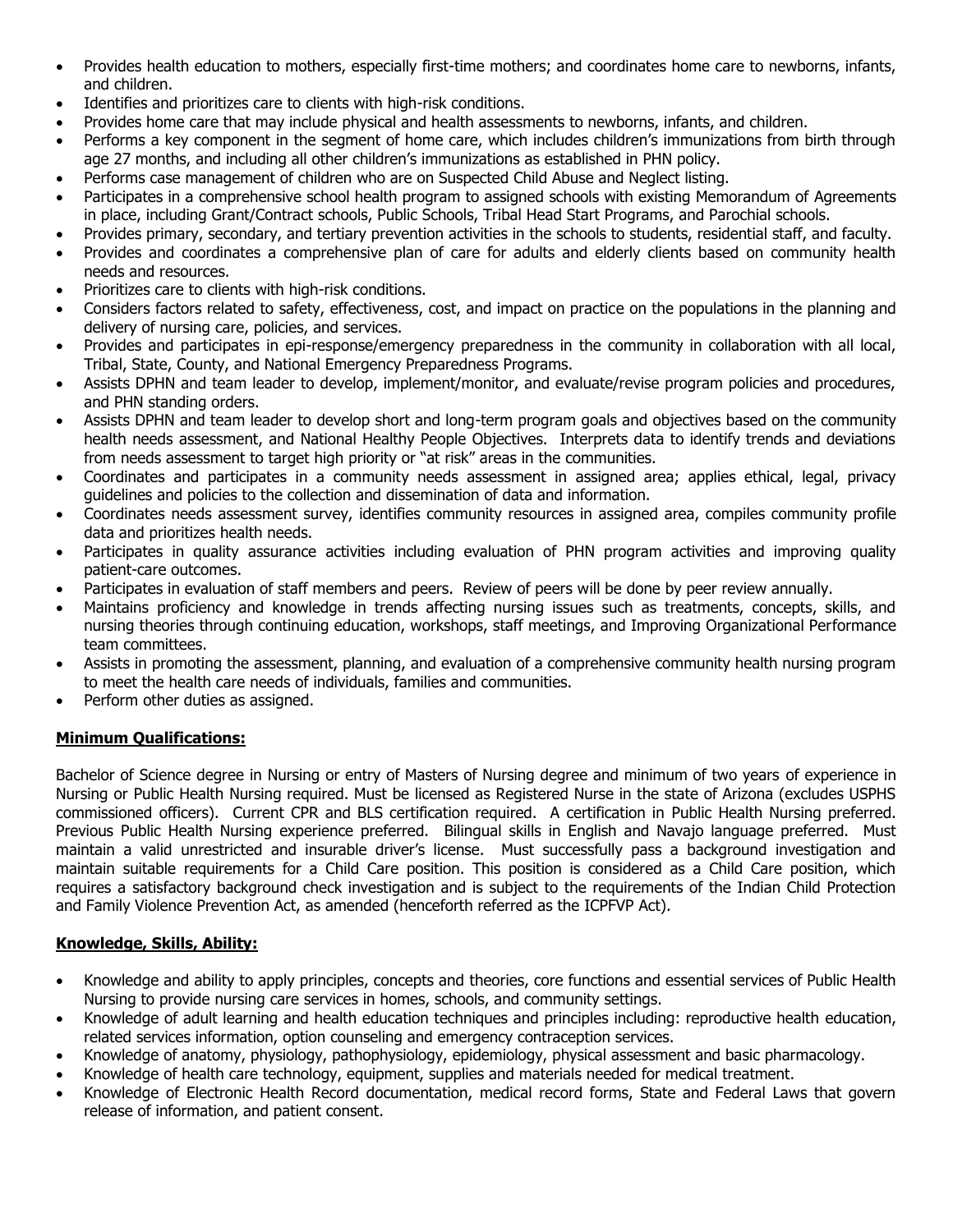- Provides health education to mothers, especially first-time mothers; and coordinates home care to newborns, infants, and children.
- Identifies and prioritizes care to clients with high-risk conditions.
- Provides home care that may include physical and health assessments to newborns, infants, and children.
- Performs a key component in the segment of home care, which includes children's immunizations from birth through age 27 months, and including all other children's immunizations as established in PHN policy.
- Performs case management of children who are on Suspected Child Abuse and Neglect listing.
- Participates in a comprehensive school health program to assigned schools with existing Memorandum of Agreements in place, including Grant/Contract schools, Public Schools, Tribal Head Start Programs, and Parochial schools.
- Provides primary, secondary, and tertiary prevention activities in the schools to students, residential staff, and faculty.
- Provides and coordinates a comprehensive plan of care for adults and elderly clients based on community health needs and resources.
- Prioritizes care to clients with high-risk conditions.
- Considers factors related to safety, effectiveness, cost, and impact on practice on the populations in the planning and delivery of nursing care, policies, and services.
- Provides and participates in epi-response/emergency preparedness in the community in collaboration with all local, Tribal, State, County, and National Emergency Preparedness Programs.
- Assists DPHN and team leader to develop, implement/monitor, and evaluate/revise program policies and procedures, and PHN standing orders.
- Assists DPHN and team leader to develop short and long-term program goals and objectives based on the community health needs assessment, and National Healthy People Objectives. Interprets data to identify trends and deviations from needs assessment to target high priority or "at risk" areas in the communities.
- Coordinates and participates in a community needs assessment in assigned area; applies ethical, legal, privacy guidelines and policies to the collection and dissemination of data and information.
- Coordinates needs assessment survey, identifies community resources in assigned area, compiles community profile data and prioritizes health needs.
- Participates in quality assurance activities including evaluation of PHN program activities and improving quality patient-care outcomes.
- Participates in evaluation of staff members and peers. Review of peers will be done by peer review annually.
- Maintains proficiency and knowledge in trends affecting nursing issues such as treatments, concepts, skills, and nursing theories through continuing education, workshops, staff meetings, and Improving Organizational Performance team committees.
- Assists in promoting the assessment, planning, and evaluation of a comprehensive community health nursing program to meet the health care needs of individuals, families and communities.
- Perform other duties as assigned.

# **Minimum Qualifications:**

Bachelor of Science degree in Nursing or entry of Masters of Nursing degree and minimum of two years of experience in Nursing or Public Health Nursing required. Must be licensed as Registered Nurse in the state of Arizona (excludes USPHS commissioned officers). Current CPR and BLS certification required. A certification in Public Health Nursing preferred. Previous Public Health Nursing experience preferred. Bilingual skills in English and Navajo language preferred. Must maintain a valid unrestricted and insurable driver's license. Must successfully pass a background investigation and maintain suitable requirements for a Child Care position. This position is considered as a Child Care position, which requires a satisfactory background check investigation and is subject to the requirements of the Indian Child Protection and Family Violence Prevention Act, as amended (henceforth referred as the ICPFVP Act).

# **Knowledge, Skills, Ability:**

- Knowledge and ability to apply principles, concepts and theories, core functions and essential services of Public Health Nursing to provide nursing care services in homes, schools, and community settings.
- Knowledge of adult learning and health education techniques and principles including: reproductive health education, related services information, option counseling and emergency contraception services.
- Knowledge of anatomy, physiology, pathophysiology, epidemiology, physical assessment and basic pharmacology.
- Knowledge of health care technology, equipment, supplies and materials needed for medical treatment.
- Knowledge of Electronic Health Record documentation, medical record forms, State and Federal Laws that govern release of information, and patient consent.